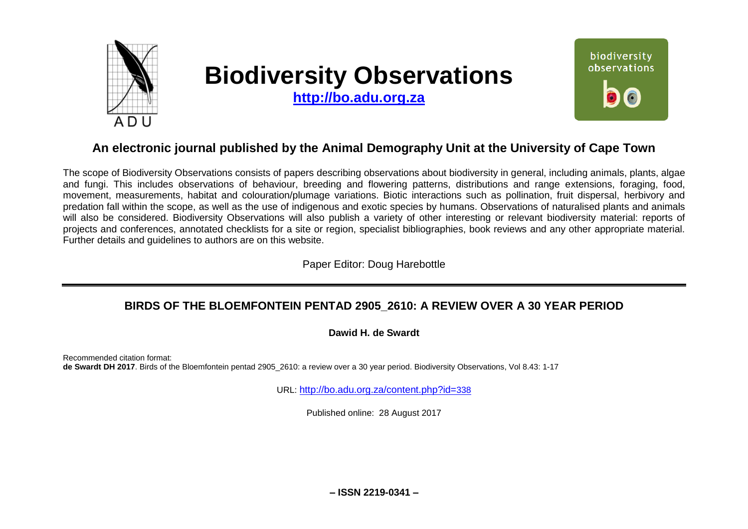

# **Biodiversity Observations**

**[http://bo.adu.org.za](http://bo.adu.org.za/)**



# **An electronic journal published by the Animal Demography Unit at the University of Cape Town**

The scope of Biodiversity Observations consists of papers describing observations about biodiversity in general, including animals, plants, algae and fungi. This includes observations of behaviour, breeding and flowering patterns, distributions and range extensions, foraging, food, movement, measurements, habitat and colouration/plumage variations. Biotic interactions such as pollination, fruit dispersal, herbivory and predation fall within the scope, as well as the use of indigenous and exotic species by humans. Observations of naturalised plants and animals will also be considered. Biodiversity Observations will also publish a variety of other interesting or relevant biodiversity material: reports of projects and conferences, annotated checklists for a site or region, specialist bibliographies, book reviews and any other appropriate material. Further details and guidelines to authors are on this website.

Paper Editor: Doug Harebottle

# **BIRDS OF THE BLOEMFONTEIN PENTAD 2905\_2610: A REVIEW OVER A 30 YEAR PERIOD**

#### **Dawid H. de Swardt**

Recommended citation format: **de Swardt DH 2017**. Birds of the Bloemfontein pentad 2905\_2610: a review over a 30 year period. Biodiversity Observations, Vol 8.43: 1-17

URL: [http://bo.adu.org.za/content.php?id=](http://bo.adu.org.za/content.php?id=338)338

Published online: 28 August 2017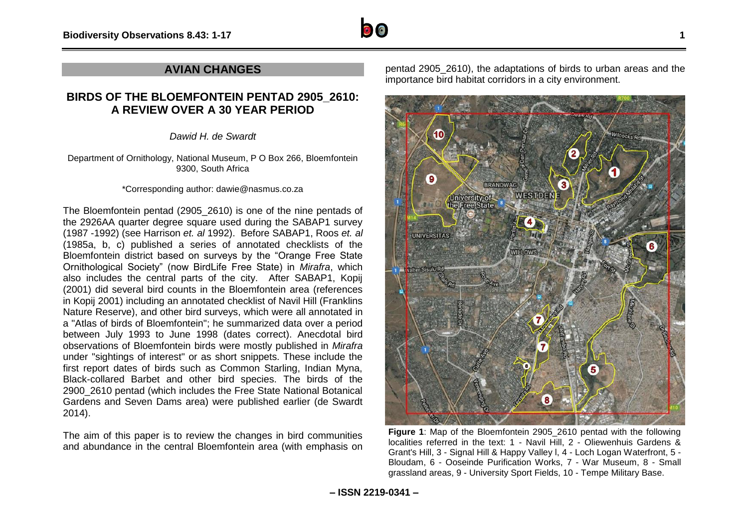

### **AVIAN CHANGES**

## **BIRDS OF THE BLOEMFONTEIN PENTAD 2905\_2610: A REVIEW OVER A 30 YEAR PERIOD**

*Dawid H. de Swardt*

Department of Ornithology, National Museum, P O Box 266, Bloemfontein 9300, South Africa

#### \*Corresponding author: dawie@nasmus.co.za

The Bloemfontein pentad (2905\_2610) is one of the nine pentads of the 2926AA quarter degree square used during the SABAP1 survey (1987 -1992) (see Harrison *et. al* 1992). Before SABAP1, Roos *et. al* (1985a, b, c) published a series of annotated checklists of the Bloemfontein district based on surveys by the "Orange Free State Ornithological Society" (now BirdLife Free State) in *Mirafra*, which also includes the central parts of the city. After SABAP1, Kopij (2001) did several bird counts in the Bloemfontein area (references in Kopij 2001) including an annotated checklist of Navil Hill (Franklins Nature Reserve), and other bird surveys, which were all annotated in a "Atlas of birds of Bloemfontein"; he summarized data over a period between July 1993 to June 1998 (dates correct). Anecdotal bird observations of Bloemfontein birds were mostly published in *Mirafra* under "sightings of interest" or as short snippets. These include the first report dates of birds such as Common Starling, Indian Myna, Black-collared Barbet and other bird species. The birds of the 2900\_2610 pentad (which includes the Free State National Botanical Gardens and Seven Dams area) were published earlier (de Swardt 2014).

The aim of this paper is to review the changes in bird communities and abundance in the central Bloemfontein area (with emphasis on

pentad 2905\_2610), the adaptations of birds to urban areas and the importance bird habitat corridors in a city environment.



**Figure 1**: Map of the Bloemfontein 2905\_2610 pentad with the following localities referred in the text: 1 - Navil Hill, 2 - Oliewenhuis Gardens & Grant's Hill, 3 - Signal Hill & Happy Valley l, 4 - Loch Logan Waterfront, 5 - Bloudam, 6 - Ooseinde Purification Works, 7 - War Museum, 8 - Small grassland areas, 9 - University Sport Fields, 10 - Tempe Military Base.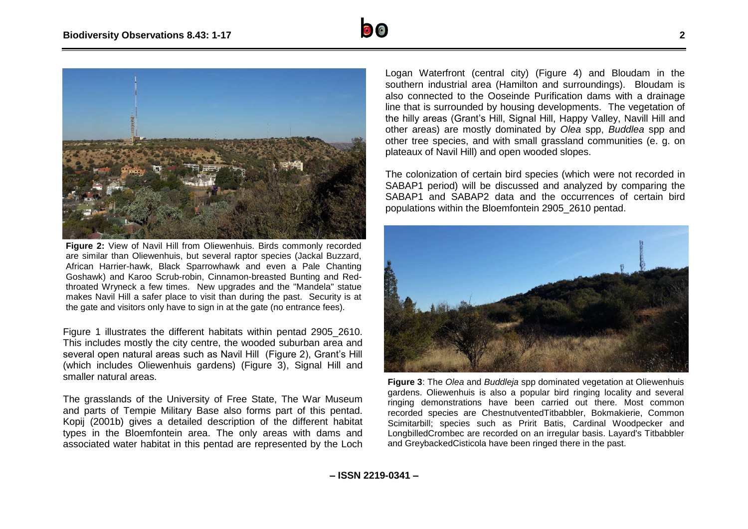



**Figure 2:** View of Navil Hill from Oliewenhuis. Birds commonly recorded are similar than Oliewenhuis, but several raptor species (Jackal Buzzard, African Harrier-hawk, Black Sparrowhawk and even a Pale Chanting Goshawk) and Karoo Scrub-robin, Cinnamon-breasted Bunting and Redthroated Wryneck a few times. New upgrades and the "Mandela" statue makes Navil Hill a safer place to visit than during the past. Security is at the gate and visitors only have to sign in at the gate (no entrance fees).

Figure 1 illustrates the different habitats within pentad 2905\_2610. This includes mostly the city centre, the wooded suburban area and several open natural areas such as Navil Hill (Figure 2), Grant's Hill (which includes Oliewenhuis gardens) (Figure 3), Signal Hill and smaller natural areas.

The grasslands of the University of Free State, The War Museum and parts of Tempie Military Base also forms part of this pentad. Kopij (2001b) gives a detailed description of the different habitat types in the Bloemfontein area. The only areas with dams and associated water habitat in this pentad are represented by the Loch

Logan Waterfront (central city) (Figure 4) and Bloudam in the southern industrial area (Hamilton and surroundings). Bloudam is also connected to the Ooseinde Purification dams with a drainage line that is surrounded by housing developments. The vegetation of the hilly areas (Grant's Hill, Signal Hill, Happy Valley, Navill Hill and other areas) are mostly dominated by *Olea* spp, *Buddlea* spp and other tree species, and with small grassland communities (e. g. on plateaux of Navil Hill) and open wooded slopes.

The colonization of certain bird species (which were not recorded in SABAP1 period) will be discussed and analyzed by comparing the SABAP1 and SABAP2 data and the occurrences of certain bird populations within the Bloemfontein 2905\_2610 pentad.



**Figure 3**: The *Olea* and *Buddleja* spp dominated vegetation at Oliewenhuis gardens. Oliewenhuis is also a popular bird ringing locality and several ringing demonstrations have been carried out there. Most common recorded species are ChestnutventedTitbabbler, Bokmakierie, Common Scimitarbill; species such as Pririt Batis, Cardinal Woodpecker and LongbilledCrombec are recorded on an irregular basis. Layard's Titbabbler and GreybackedCisticola have been ringed there in the past.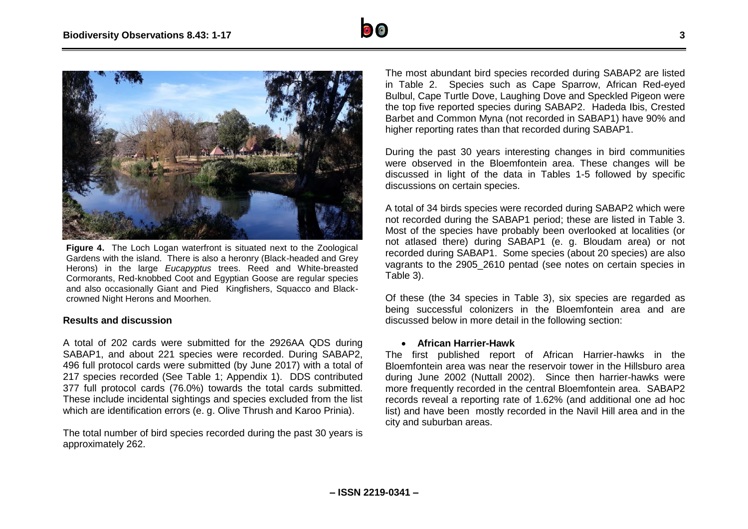

**Figure 4.** The Loch Logan waterfront is situated next to the Zoological Gardens with the island. There is also a heronry (Black-headed and Grey Herons) in the large *Eucapyptus* trees. Reed and White-breasted Cormorants, Red-knobbed Coot and Egyptian Goose are regular species and also occasionally Giant and Pied Kingfishers, Squacco and Blackcrowned Night Herons and Moorhen.

#### **Results and discussion**

A total of 202 cards were submitted for the 2926AA QDS during SABAP1, and about 221 species were recorded. During SABAP2, 496 full protocol cards were submitted (by June 2017) with a total of 217 species recorded (See Table 1; Appendix 1). DDS contributed 377 full protocol cards (76.0%) towards the total cards submitted. These include incidental sightings and species excluded from the list which are identification errors (e. g. Olive Thrush and Karoo Prinia).

The total number of bird species recorded during the past 30 years is approximately 262.

The most abundant bird species recorded during SABAP2 are listed in Table 2. Species such as Cape Sparrow, African Red-eyed Bulbul, Cape Turtle Dove, Laughing Dove and Speckled Pigeon were the top five reported species during SABAP2. Hadeda Ibis, Crested Barbet and Common Myna (not recorded in SABAP1) have 90% and higher reporting rates than that recorded during SABAP1.

During the past 30 years interesting changes in bird communities were observed in the Bloemfontein area. These changes will be discussed in light of the data in Tables 1-5 followed by specific discussions on certain species.

A total of 34 birds species were recorded during SABAP2 which were not recorded during the SABAP1 period; these are listed in Table 3. Most of the species have probably been overlooked at localities (or not atlased there) during SABAP1 (e. g. Bloudam area) or not recorded during SABAP1. Some species (about 20 species) are also vagrants to the 2905\_2610 pentad (see notes on certain species in Table 3).

Of these (the 34 species in Table 3), six species are regarded as being successful colonizers in the Bloemfontein area and are discussed below in more detail in the following section:

#### **African Harrier-Hawk**

The first published report of African Harrier-hawks in the Bloemfontein area was near the reservoir tower in the Hillsburo area during June 2002 (Nuttall 2002). Since then harrier-hawks were more frequently recorded in the central Bloemfontein area. SABAP2 records reveal a reporting rate of 1.62% (and additional one ad hoc list) and have been mostly recorded in the Navil Hill area and in the city and suburban areas.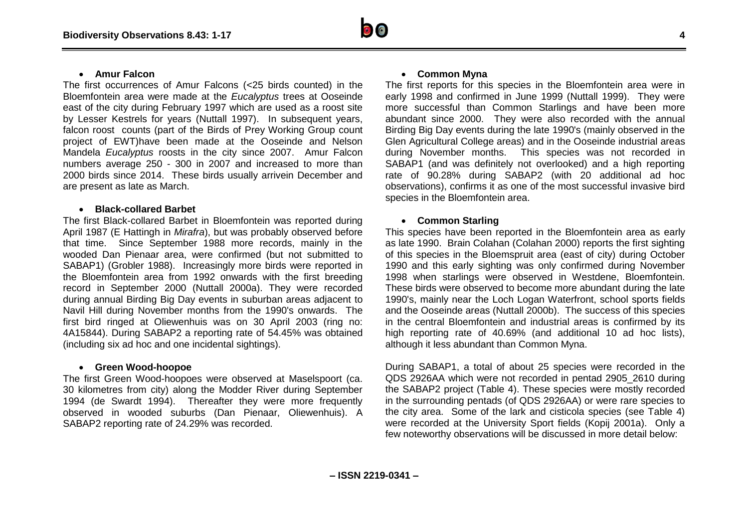#### **Amur Falcon**

The first occurrences of Amur Falcons (<25 birds counted) in the Bloemfontein area were made at the *Eucalyptus* trees at Ooseinde east of the city during February 1997 which are used as a roost site by Lesser Kestrels for years (Nuttall 1997). In subsequent years, falcon roost counts (part of the Birds of Prey Working Group count project of EWT)have been made at the Ooseinde and Nelson Mandela *Eucalyptus* roosts in the city since 2007. Amur Falcon numbers average 250 - 300 in 2007 and increased to more than 2000 birds since 2014. These birds usually arrivein December and are present as late as March.

#### **Black-collared Barbet**

The first Black-collared Barbet in Bloemfontein was reported during April 1987 (E Hattingh in *Mirafra*), but was probably observed before that time. Since September 1988 more records, mainly in the wooded Dan Pienaar area, were confirmed (but not submitted to SABAP1) (Grobler 1988). Increasingly more birds were reported in the Bloemfontein area from 1992 onwards with the first breeding record in September 2000 (Nuttall 2000a). They were recorded during annual Birding Big Day events in suburban areas adjacent to Navil Hill during November months from the 1990's onwards. The first bird ringed at Oliewenhuis was on 30 April 2003 (ring no: 4A15844). During SABAP2 a reporting rate of 54.45% was obtained (including six ad hoc and one incidental sightings).

#### **Green Wood-hoopoe**

The first Green Wood-hoopoes were observed at Maselspoort (ca. 30 kilometres from city) along the Modder River during September 1994 (de Swardt 1994). Thereafter they were more frequently observed in wooded suburbs (Dan Pienaar, Oliewenhuis). A SABAP2 reporting rate of 24.29% was recorded.

#### **Common Myna**

The first reports for this species in the Bloemfontein area were in early 1998 and confirmed in June 1999 (Nuttall 1999). They were more successful than Common Starlings and have been more abundant since 2000. They were also recorded with the annual Birding Big Day events during the late 1990's (mainly observed in the Glen Agricultural College areas) and in the Ooseinde industrial areas during November months. This species was not recorded in SABAP1 (and was definitely not overlooked) and a high reporting rate of 90.28% during SABAP2 (with 20 additional ad hoc observations), confirms it as one of the most successful invasive bird species in the Bloemfontein area.

#### **Common Starling**

This species have been reported in the Bloemfontein area as early as late 1990. Brain Colahan (Colahan 2000) reports the first sighting of this species in the Bloemspruit area (east of city) during October 1990 and this early sighting was only confirmed during November 1998 when starlings were observed in Westdene, Bloemfontein. These birds were observed to become more abundant during the late 1990's, mainly near the Loch Logan Waterfront, school sports fields and the Ooseinde areas (Nuttall 2000b). The success of this species in the central Bloemfontein and industrial areas is confirmed by its high reporting rate of 40.69% (and additional 10 ad hoc lists), although it less abundant than Common Myna.

During SABAP1, a total of about 25 species were recorded in the QDS 2926AA which were not recorded in pentad 2905\_2610 during the SABAP2 project (Table 4). These species were mostly recorded in the surrounding pentads (of QDS 2926AA) or were rare species to the city area. Some of the lark and cisticola species (see Table 4) were recorded at the University Sport fields (Kopij 2001a). Only a few noteworthy observations will be discussed in more detail below: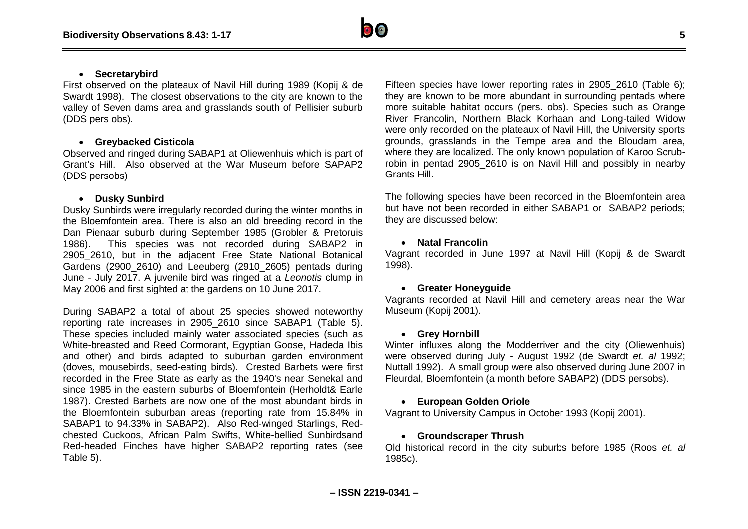

#### **Secretarybird**

First observed on the plateaux of Navil Hill during 1989 (Kopij & de Swardt 1998). The closest observations to the city are known to the valley of Seven dams area and grasslands south of Pellisier suburb (DDS pers obs).

#### **Greybacked Cisticola**

Observed and ringed during SABAP1 at Oliewenhuis which is part of Grant's Hill. Also observed at the War Museum before SAPAP2 (DDS persobs)

#### **Dusky Sunbird**

Dusky Sunbirds were irregularly recorded during the winter months in the Bloemfontein area. There is also an old breeding record in the Dan Pienaar suburb during September 1985 (Grobler & Pretoruis 1986). This species was not recorded during SABAP2 in 2905\_2610, but in the adjacent Free State National Botanical Gardens (2900\_2610) and Leeuberg (2910\_2605) pentads during June - July 2017. A juvenile bird was ringed at a *Leonotis* clump in May 2006 and first sighted at the gardens on 10 June 2017.

During SABAP2 a total of about 25 species showed noteworthy reporting rate increases in 2905\_2610 since SABAP1 (Table 5). These species included mainly water associated species (such as White-breasted and Reed Cormorant, Egyptian Goose, Hadeda Ibis and other) and birds adapted to suburban garden environment (doves, mousebirds, seed-eating birds). Crested Barbets were first recorded in the Free State as early as the 1940's near Senekal and since 1985 in the eastern suburbs of Bloemfontein (Herholdt& Earle 1987). Crested Barbets are now one of the most abundant birds in the Bloemfontein suburban areas (reporting rate from 15.84% in SABAP1 to 94.33% in SABAP2). Also Red-winged Starlings, Redchested Cuckoos, African Palm Swifts, White-bellied Sunbirdsand Red-headed Finches have higher SABAP2 reporting rates (see Table 5).

Fifteen species have lower reporting rates in 2905\_2610 (Table 6); they are known to be more abundant in surrounding pentads where more suitable habitat occurs (pers. obs). Species such as Orange River Francolin, Northern Black Korhaan and Long-tailed Widow were only recorded on the plateaux of Navil Hill, the University sports grounds, grasslands in the Tempe area and the Bloudam area, where they are localized. The only known population of Karoo Scrubrobin in pentad 2905\_2610 is on Navil Hill and possibly in nearby Grants Hill.

The following species have been recorded in the Bloemfontein area but have not been recorded in either SABAP1 or SABAP2 periods; they are discussed below:

#### **Natal Francolin**

Vagrant recorded in June 1997 at Navil Hill (Kopij & de Swardt 1998).

#### **Greater Honeyguide**

Vagrants recorded at Navil Hill and cemetery areas near the War Museum (Kopij 2001).

#### **Grey Hornbill**

Winter influxes along the Modderriver and the city (Oliewenhuis) were observed during July - August 1992 (de Swardt *et. al* 1992; Nuttall 1992). A small group were also observed during June 2007 in Fleurdal, Bloemfontein (a month before SABAP2) (DDS persobs).

#### **European Golden Oriole**

Vagrant to University Campus in October 1993 (Kopij 2001).

#### **Groundscraper Thrush**

Old historical record in the city suburbs before 1985 (Roos *et. al* 1985c).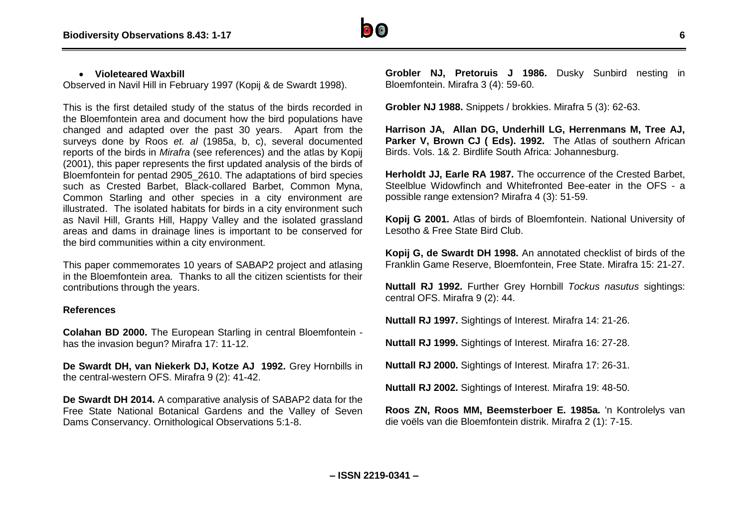

#### **Violeteared Waxbill**

Observed in Navil Hill in February 1997 (Kopij & de Swardt 1998).

This is the first detailed study of the status of the birds recorded in the Bloemfontein area and document how the bird populations have changed and adapted over the past 30 years. Apart from the surveys done by Roos *et. al* (1985a, b, c), several documented reports of the birds in *Mirafra* (see references) and the atlas by Kopij (2001), this paper represents the first updated analysis of the birds of Bloemfontein for pentad 2905\_2610. The adaptations of bird species such as Crested Barbet, Black-collared Barbet, Common Myna, Common Starling and other species in a city environment are illustrated. The isolated habitats for birds in a city environment such as Navil Hill, Grants Hill, Happy Valley and the isolated grassland areas and dams in drainage lines is important to be conserved for the bird communities within a city environment.

This paper commemorates 10 years of SABAP2 project and atlasing in the Bloemfontein area. Thanks to all the citizen scientists for their contributions through the years.

#### **References**

**Colahan BD 2000.** The European Starling in central Bloemfontein has the invasion begun? Mirafra 17: 11-12.

**De Swardt DH, van Niekerk DJ, Kotze AJ 1992.** Grey Hornbills in the central-western OFS. Mirafra 9 (2): 41-42.

**De Swardt DH 2014.** A comparative analysis of SABAP2 data for the Free State National Botanical Gardens and the Valley of Seven Dams Conservancy. Ornithological Observations 5:1-8.

**Grobler NJ, Pretoruis J 1986.** Dusky Sunbird nesting in Bloemfontein. Mirafra 3 (4): 59-60.

**Grobler NJ 1988.** Snippets / brokkies. Mirafra 5 (3): 62-63.

**Harrison JA, Allan DG, Underhill LG, Herrenmans M, Tree AJ,**  Parker V, Brown CJ (Eds). 1992. The Atlas of southern African Birds. Vols. 1& 2. Birdlife South Africa: Johannesburg.

**Herholdt JJ, Earle RA 1987.** The occurrence of the Crested Barbet, Steelblue Widowfinch and Whitefronted Bee-eater in the OFS - a possible range extension? Mirafra 4 (3): 51-59.

**Kopij G 2001.** Atlas of birds of Bloemfontein. National University of Lesotho & Free State Bird Club.

**Kopij G, de Swardt DH 1998.** An annotated checklist of birds of the Franklin Game Reserve, Bloemfontein, Free State. Mirafra 15: 21-27.

**Nuttall RJ 1992.** Further Grey Hornbill *Tockus nasutus* sightings: central OFS. Mirafra 9 (2): 44.

**Nuttall RJ 1997.** Sightings of Interest. Mirafra 14: 21-26.

**Nuttall RJ 1999.** Sightings of Interest. Mirafra 16: 27-28.

**Nuttall RJ 2000.** Sightings of Interest. Mirafra 17: 26-31.

**Nuttall RJ 2002.** Sightings of Interest. Mirafra 19: 48-50.

**Roos ZN, Roos MM, Beemsterboer E. 1985a.** 'n Kontrolelys van die voëls van die Bloemfontein distrik. Mirafra 2 (1): 7-15.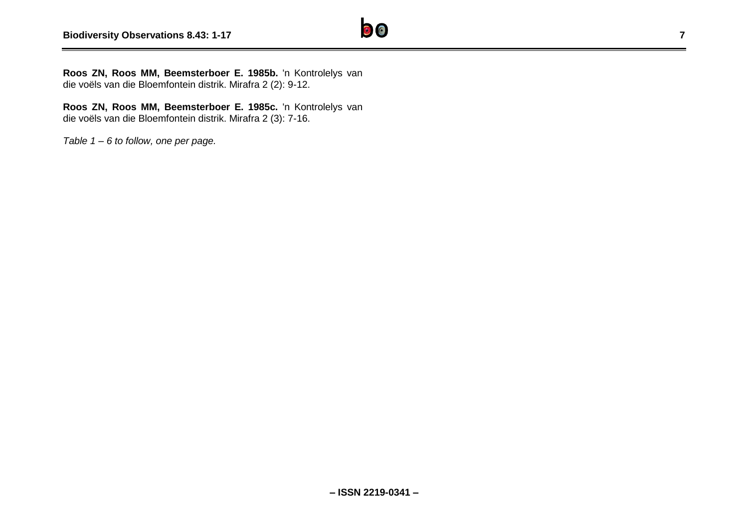

**Roos ZN, Roos MM, Beemsterboer E. 1985c.** 'n Kontrolelys van die voëls van die Bloemfontein distrik. Mirafra 2 (3): 7-16.

*Table 1 – 6 to follow, one per page.*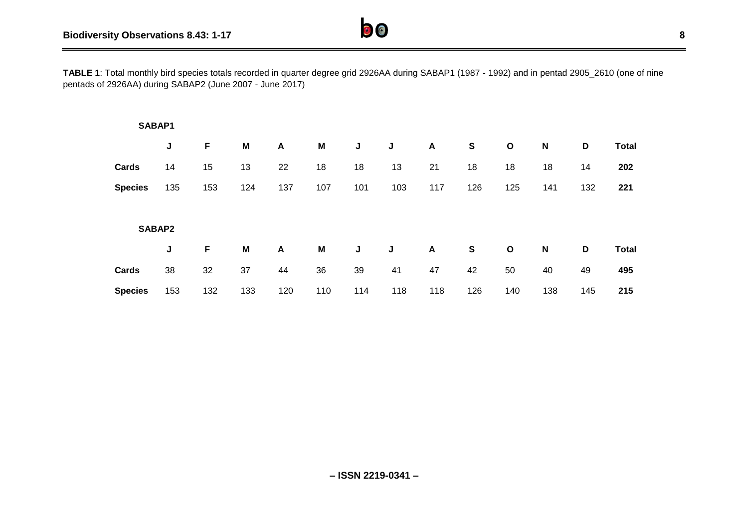**TABLE 1**: Total monthly bird species totals recorded in quarter degree grid 2926AA during SABAP1 (1987 - 1992) and in pentad 2905\_2610 (one of nine pentads of 2926AA) during SABAP2 (June 2007 - June 2017)

| SABAP1         |        |     |     |     |     |     |     |                  |     |             |     |     |              |
|----------------|--------|-----|-----|-----|-----|-----|-----|------------------|-----|-------------|-----|-----|--------------|
|                | J      | F   | M   | A   | M   | J   | J   | $\boldsymbol{A}$ | S   | $\mathbf O$ | N   | D   | <b>Total</b> |
| Cards          | 14     | 15  | 13  | 22  | 18  | 18  | 13  | 21               | 18  | 18          | 18  | 14  | 202          |
| <b>Species</b> | 135    | 153 | 124 | 137 | 107 | 101 | 103 | 117              | 126 | 125         | 141 | 132 | 221          |
|                |        |     |     |     |     |     |     |                  |     |             |     |     |              |
|                | SABAP2 |     |     |     |     |     |     |                  |     |             |     |     |              |
|                | J      | F   | M   | A   | M   | J   | J   | $\blacktriangle$ | S   | $\mathbf O$ | N   | D   | <b>Total</b> |
| Cards          | 38     | 32  | 37  | 44  | 36  | 39  | 41  | 47               | 42  | 50          | 40  | 49  | 495          |
| <b>Species</b> | 153    | 132 | 133 | 120 | 110 | 114 | 118 | 118              | 126 | 140         | 138 | 145 | 215          |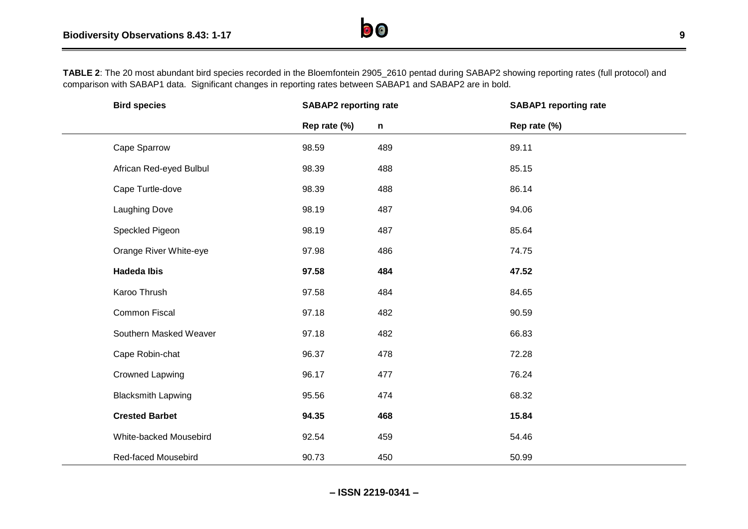

| <b>Bird species</b>       | <b>SABAP2 reporting rate</b> |              | <b>SABAP1</b> reporting rate |  |
|---------------------------|------------------------------|--------------|------------------------------|--|
|                           | Rep rate (%)                 | $\mathsf{n}$ | Rep rate (%)                 |  |
| Cape Sparrow              | 98.59                        | 489          | 89.11                        |  |
| African Red-eyed Bulbul   | 98.39                        | 488          | 85.15                        |  |
| Cape Turtle-dove          | 98.39                        | 488          | 86.14                        |  |
| <b>Laughing Dove</b>      | 98.19                        | 487          | 94.06                        |  |
| Speckled Pigeon           | 98.19                        | 487          | 85.64                        |  |
| Orange River White-eye    | 97.98                        | 486          | 74.75                        |  |
| <b>Hadeda Ibis</b>        | 97.58                        | 484          | 47.52                        |  |
| Karoo Thrush              | 97.58                        | 484          | 84.65                        |  |
| Common Fiscal             | 97.18                        | 482          | 90.59                        |  |
| Southern Masked Weaver    | 97.18                        | 482          | 66.83                        |  |
| Cape Robin-chat           | 96.37                        | 478          | 72.28                        |  |
| <b>Crowned Lapwing</b>    | 96.17                        | 477          | 76.24                        |  |
| <b>Blacksmith Lapwing</b> | 95.56                        | 474          | 68.32                        |  |
| <b>Crested Barbet</b>     | 94.35                        | 468          | 15.84                        |  |
| White-backed Mousebird    | 92.54                        | 459          | 54.46                        |  |
| Red-faced Mousebird       | 90.73                        | 450          | 50.99                        |  |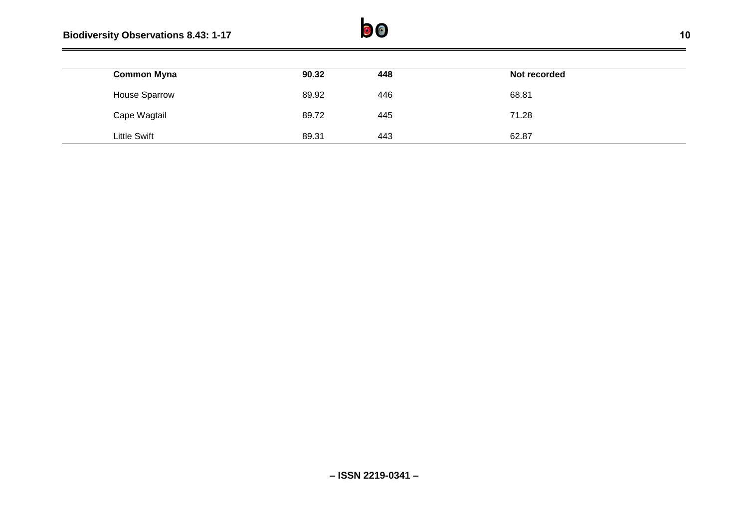# **Biodiversity Observations 8.43: 1-17 10**



| <b>Common Myna</b>   | 90.32 | 448 | Not recorded |
|----------------------|-------|-----|--------------|
| <b>House Sparrow</b> | 89.92 | 446 | 68.81        |
| Cape Wagtail         | 89.72 | 445 | 71.28        |
| <b>Little Swift</b>  | 89.31 | 443 | 62.87        |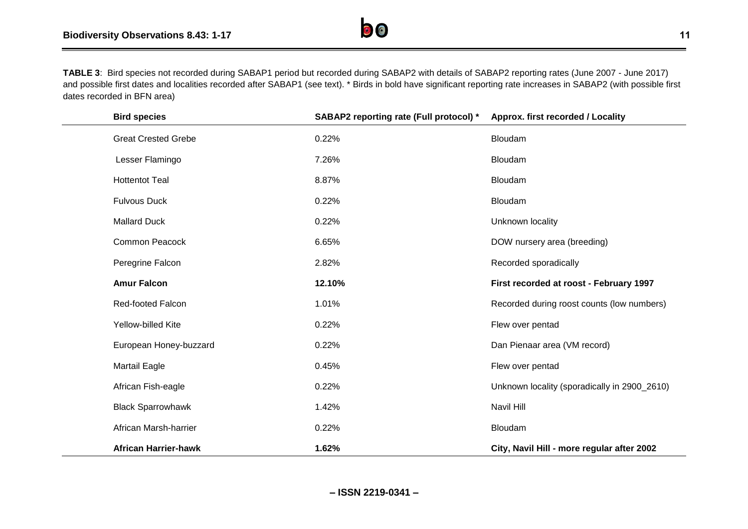

**TABLE 3**: Bird species not recorded during SABAP1 period but recorded during SABAP2 with details of SABAP2 reporting rates (June 2007 - June 2017) and possible first dates and localities recorded after SABAP1 (see text). \* Birds in bold have significant reporting rate increases in SABAP2 (with possible first dates recorded in BFN area)

| <b>Bird species</b>         | SABAP2 reporting rate (Full protocol) * | Approx. first recorded / Locality            |
|-----------------------------|-----------------------------------------|----------------------------------------------|
| <b>Great Crested Grebe</b>  | 0.22%                                   | Bloudam                                      |
| Lesser Flamingo             | 7.26%                                   | Bloudam                                      |
| <b>Hottentot Teal</b>       | 8.87%                                   | Bloudam                                      |
| <b>Fulvous Duck</b>         | 0.22%                                   | Bloudam                                      |
| <b>Mallard Duck</b>         | 0.22%                                   | Unknown locality                             |
| <b>Common Peacock</b>       | 6.65%                                   | DOW nursery area (breeding)                  |
| Peregrine Falcon            | 2.82%                                   | Recorded sporadically                        |
| <b>Amur Falcon</b>          | 12.10%                                  | First recorded at roost - February 1997      |
| <b>Red-footed Falcon</b>    | 1.01%                                   | Recorded during roost counts (low numbers)   |
| Yellow-billed Kite          | 0.22%                                   | Flew over pentad                             |
| European Honey-buzzard      | 0.22%                                   | Dan Pienaar area (VM record)                 |
| <b>Martail Eagle</b>        | 0.45%                                   | Flew over pentad                             |
| African Fish-eagle          | 0.22%                                   | Unknown locality (sporadically in 2900_2610) |
| <b>Black Sparrowhawk</b>    | 1.42%                                   | Navil Hill                                   |
| African Marsh-harrier       | 0.22%                                   | Bloudam                                      |
| <b>African Harrier-hawk</b> | 1.62%                                   | City, Navil Hill - more regular after 2002   |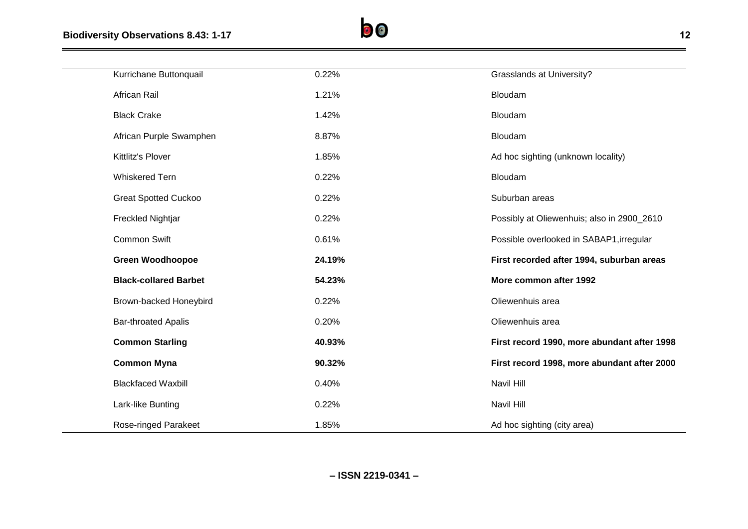

| Kurrichane Buttonquail        | 0.22%  | <b>Grasslands at University?</b>            |
|-------------------------------|--------|---------------------------------------------|
| African Rail                  | 1.21%  | Bloudam                                     |
| <b>Black Crake</b>            | 1.42%  | Bloudam                                     |
| African Purple Swamphen       | 8.87%  | Bloudam                                     |
| Kittlitz's Plover             | 1.85%  | Ad hoc sighting (unknown locality)          |
| <b>Whiskered Tern</b>         | 0.22%  | Bloudam                                     |
| <b>Great Spotted Cuckoo</b>   | 0.22%  | Suburban areas                              |
| Freckled Nightjar             | 0.22%  | Possibly at Oliewenhuis; also in 2900_2610  |
| <b>Common Swift</b>           | 0.61%  | Possible overlooked in SABAP1, irregular    |
|                               |        |                                             |
| <b>Green Woodhoopoe</b>       | 24.19% | First recorded after 1994, suburban areas   |
| <b>Black-collared Barbet</b>  | 54.23% | More common after 1992                      |
| <b>Brown-backed Honeybird</b> | 0.22%  | Oliewenhuis area                            |
| <b>Bar-throated Apalis</b>    | 0.20%  | Oliewenhuis area                            |
| <b>Common Starling</b>        | 40.93% | First record 1990, more abundant after 1998 |
| <b>Common Myna</b>            | 90.32% | First record 1998, more abundant after 2000 |
| <b>Blackfaced Waxbill</b>     | 0.40%  | Navil Hill                                  |
| Lark-like Bunting             | 0.22%  | Navil Hill                                  |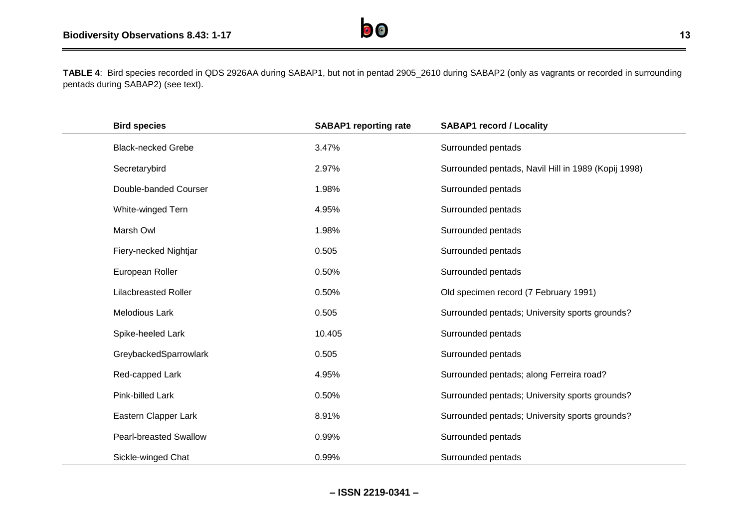

| <b>Bird species</b>           | <b>SABAP1</b> reporting rate | <b>SABAP1 record / Locality</b>                     |
|-------------------------------|------------------------------|-----------------------------------------------------|
| <b>Black-necked Grebe</b>     | 3.47%                        | Surrounded pentads                                  |
| Secretarybird                 | 2.97%                        | Surrounded pentads, Navil Hill in 1989 (Kopij 1998) |
| Double-banded Courser         | 1.98%                        | Surrounded pentads                                  |
| White-winged Tern             | 4.95%                        | Surrounded pentads                                  |
| Marsh Owl                     | 1.98%                        | Surrounded pentads                                  |
| Fiery-necked Nightjar         | 0.505                        | Surrounded pentads                                  |
| European Roller               | 0.50%                        | Surrounded pentads                                  |
| <b>Lilacbreasted Roller</b>   | 0.50%                        | Old specimen record (7 February 1991)               |
| <b>Melodious Lark</b>         | 0.505                        | Surrounded pentads; University sports grounds?      |
| Spike-heeled Lark             | 10.405                       | Surrounded pentads                                  |
| GreybackedSparrowlark         | 0.505                        | Surrounded pentads                                  |
| Red-capped Lark               | 4.95%                        | Surrounded pentads; along Ferreira road?            |
| Pink-billed Lark              | 0.50%                        | Surrounded pentads; University sports grounds?      |
| Eastern Clapper Lark          | 8.91%                        | Surrounded pentads; University sports grounds?      |
| <b>Pearl-breasted Swallow</b> | 0.99%                        | Surrounded pentads                                  |
| Sickle-winged Chat            | 0.99%                        | Surrounded pentads                                  |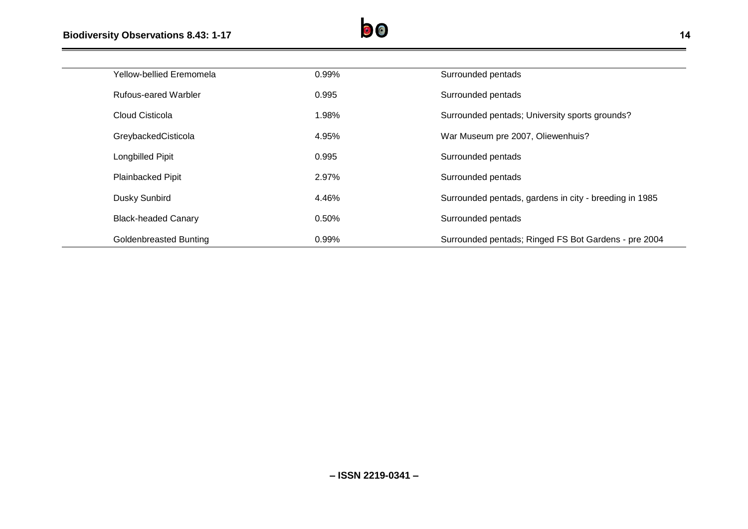

| Yellow-bellied Eremomela    | 0.99% | Surrounded pentads                                     |
|-----------------------------|-------|--------------------------------------------------------|
| <b>Rufous-eared Warbler</b> | 0.995 | Surrounded pentads                                     |
| Cloud Cisticola             | 1.98% | Surrounded pentads; University sports grounds?         |
| GreybackedCisticola         | 4.95% | War Museum pre 2007, Oliewenhuis?                      |
| Longbilled Pipit            | 0.995 | Surrounded pentads                                     |
| Plainbacked Pipit           | 2.97% | Surrounded pentads                                     |
| Dusky Sunbird               | 4.46% | Surrounded pentads, gardens in city - breeding in 1985 |
| <b>Black-headed Canary</b>  | 0.50% | Surrounded pentads                                     |
| Goldenbreasted Bunting      | 0.99% | Surrounded pentads; Ringed FS Bot Gardens - pre 2004   |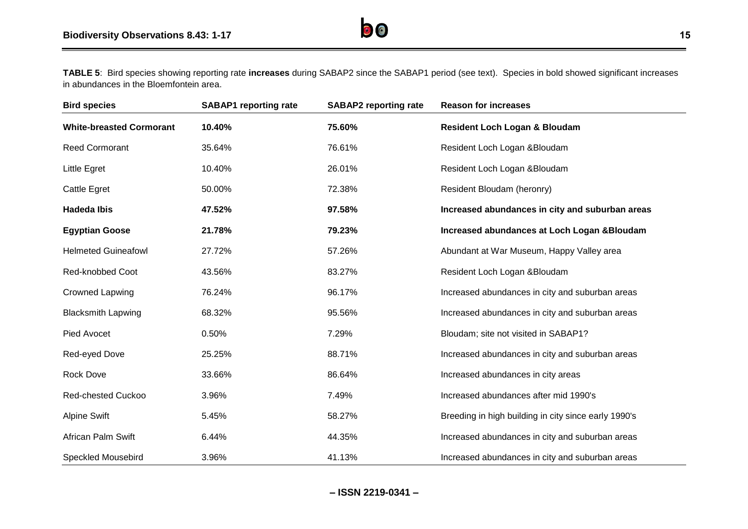**TABLE 5**: Bird species showing reporting rate **increases** during SABAP2 since the SABAP1 period (see text). Species in bold showed significant increases in abundances in the Bloemfontein area.

| <b>Bird species</b>             | <b>SABAP1</b> reporting rate | <b>SABAP2</b> reporting rate | <b>Reason for increases</b>                          |
|---------------------------------|------------------------------|------------------------------|------------------------------------------------------|
| <b>White-breasted Cormorant</b> | 10.40%                       | 75.60%                       | <b>Resident Loch Logan &amp; Bloudam</b>             |
| Reed Cormorant                  | 35.64%                       | 76.61%                       | Resident Loch Logan & Bloudam                        |
| <b>Little Egret</b>             | 10.40%                       | 26.01%                       | Resident Loch Logan & Bloudam                        |
| Cattle Egret                    | 50.00%                       | 72.38%                       | Resident Bloudam (heronry)                           |
| <b>Hadeda Ibis</b>              | 47.52%                       | 97.58%                       | Increased abundances in city and suburban areas      |
| <b>Egyptian Goose</b>           | 21.78%                       | 79.23%                       | Increased abundances at Loch Logan & Bloudam         |
| <b>Helmeted Guineafowl</b>      | 27.72%                       | 57.26%                       | Abundant at War Museum, Happy Valley area            |
| Red-knobbed Coot                | 43.56%                       | 83.27%                       | Resident Loch Logan & Bloudam                        |
| <b>Crowned Lapwing</b>          | 76.24%                       | 96.17%                       | Increased abundances in city and suburban areas      |
| <b>Blacksmith Lapwing</b>       | 68.32%                       | 95.56%                       | Increased abundances in city and suburban areas      |
| Pied Avocet                     | 0.50%                        | 7.29%                        | Bloudam; site not visited in SABAP1?                 |
| Red-eyed Dove                   | 25.25%                       | 88.71%                       | Increased abundances in city and suburban areas      |
| Rock Dove                       | 33.66%                       | 86.64%                       | Increased abundances in city areas                   |
| <b>Red-chested Cuckoo</b>       | 3.96%                        | 7.49%                        | Increased abundances after mid 1990's                |
| <b>Alpine Swift</b>             | 5.45%                        | 58.27%                       | Breeding in high building in city since early 1990's |
| African Palm Swift              | 6.44%                        | 44.35%                       | Increased abundances in city and suburban areas      |
| <b>Speckled Mousebird</b>       | 3.96%                        | 41.13%                       | Increased abundances in city and suburban areas      |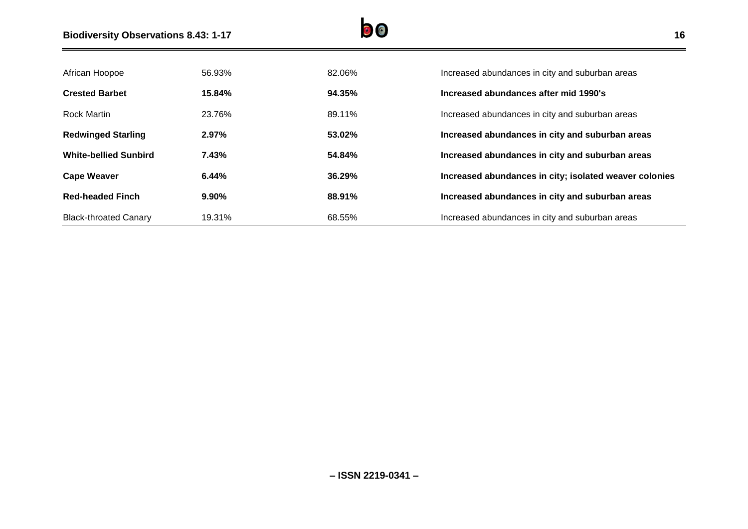

| African Hoopoe               | 56.93% | 82.06% | Increased abundances in city and suburban areas        |
|------------------------------|--------|--------|--------------------------------------------------------|
| <b>Crested Barbet</b>        | 15.84% | 94.35% | Increased abundances after mid 1990's                  |
| <b>Rock Martin</b>           | 23.76% | 89.11% | Increased abundances in city and suburban areas        |
| <b>Redwinged Starling</b>    | 2.97%  | 53.02% | Increased abundances in city and suburban areas        |
| <b>White-bellied Sunbird</b> | 7.43%  | 54.84% | Increased abundances in city and suburban areas        |
| <b>Cape Weaver</b>           | 6.44%  | 36.29% | Increased abundances in city; isolated weaver colonies |
| <b>Red-headed Finch</b>      | 9.90%  | 88.91% | Increased abundances in city and suburban areas        |
| <b>Black-throated Canary</b> | 19.31% | 68.55% | Increased abundances in city and suburban areas        |